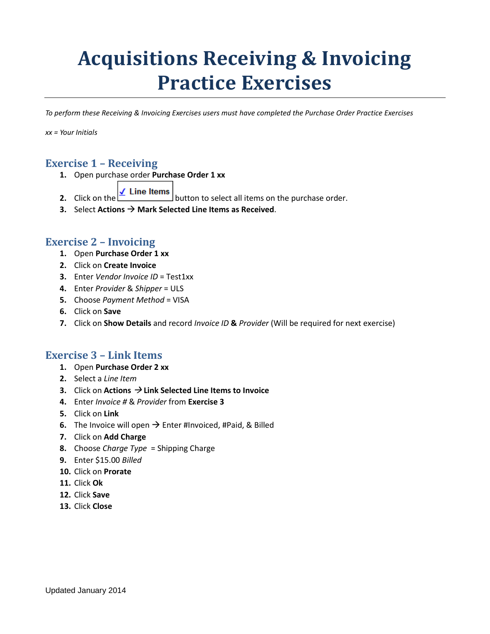# **Acquisitions Receiving & Invoicing Practice Exercises**

*To perform these Receiving & Invoicing Exercises users must have completed the Purchase Order Practice Exercises*

*xx = Your Initials*

### **Exercise 1 – Receiving**

**1.** Open purchase order **Purchase Order 1 xx** 

- **2.** Click on the  $\leq$  Line Items button to select all items on the purchase order.
- **3.** Select **Actions Mark Selected Line Items as Received**.

#### **Exercise 2 – Invoicing**

- **1.** Open **Purchase Order 1 xx**
- **2.** Click on **Create Invoice**
- **3.** Enter *Vendor Invoice ID* = Test1xx
- **4.** Enter *Provider* & *Shipper* = ULS
- **5.** Choose *Payment Method* = VISA
- **6.** Click on **Save**
- **7.** Click on **Show Details** and record *Invoice ID* **&** *Provider* (Will be required for next exercise)

#### **Exercise 3 – Link Items**

- **1.** Open **Purchase Order 2 xx**
- **2.** Select a *Line Item*
- **3.** Click on **Actions Link Selected Line Items to Invoice**
- **4.** Enter *Invoice #* & *Provider* from **Exercise 3**
- **5.** Click on **Link**
- **6.** The Invoice will open  $\rightarrow$  Enter #Invoiced, #Paid, & Billed
- **7.** Click on **Add Charge**
- **8.** Choose *Charge Type* = Shipping Charge
- **9.** Enter \$15.00 *Billed*
- **10.** Click on **Prorate**
- **11.** Click **Ok**
- **12.** Click **Save**
- **13.** Click **Close**